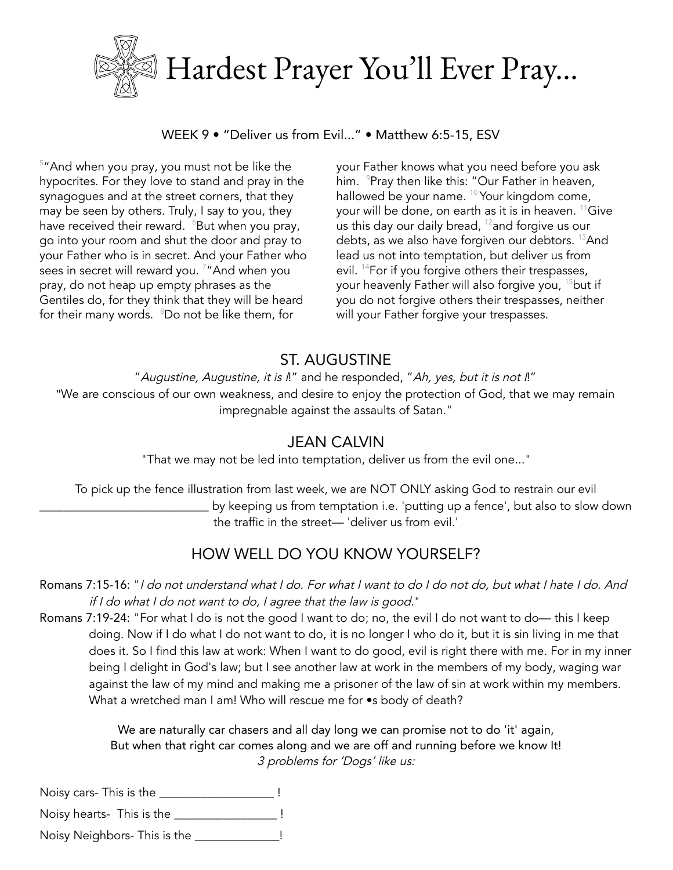

WEEK 9 · "Deliver us from Evil..." · Matthew 6:5-15, ESV

 $5$ "And when you pray, you must not be like the hypocrites. For they love to stand and pray in the synagogues and at the street corners, that they may be seen by others. Truly, I say to you, they have received their reward.  $~^{\circ}$ But when you pray, go into your room and shut the door and pray to your Father who is in secret. And your Father who sees in secret will reward you.  $^7$  "And when you pray, do not heap up empty phrases as the Gentiles do, for they think that they will be heard for their many words.  $\,{}^{\scriptscriptstyle 8}$ Do not be like them, for

your Father knows what you need before you ask him.  $\,{}^{\circ}$ Pray then like this: "Our Father in heaven, hallowed be your name.  $10$  Your kingdom come, your will be done, on earth as it is in heaven.  $^{11}$ Give us this day our daily bread,  $^{12}$ and forgive us our debts, as we also have forgiven our debtors. <sup>13</sup>And lead us not into temptation, but deliver us from evil.  $^{14}$ For if you forgive others their trespasses, your heavenly Father will also forgive you, <sup>15</sup>but if you do not forgive others their trespasses, neither will your Father forgive your trespasses.

### ST. AUGUSTINE

"Augustine, Augustine, it is I!" and he responded, "Ah, yes, but it is not I!"

"We are conscious of our own weakness, and desire to enjoy the protection of God, that we may remain impregnable against the assaults of Satan."

#### JEAN CALVIN

"That we may not be led into temptation, deliver us from the evil one..."

To pick up the fence illustration from last week, we are NOT ONLY asking God to restrain our evil by keeping us from temptation i.e. 'putting up a fence', but also to slow down the traffic in the street— 'deliver us from evil.'

# HOW WELL DO YOU KNOW YOURSELF?

#### Romans 7:15-16: "I do not understand what I do. For what I want to do I do not do, but what I hate I do. And if I do what I do not want to do, I agree that the law is good."

Romans 7:19-24: "For what I do is not the good I want to do; no, the evil I do not want to do- this I keep doing. Now if I do what I do not want to do, it is no longer I who do it, but it is sin living in me that does it. So I find this law at work: When I want to do good, evil is right there with me. For in my inner being I delight in God's law; but I see another law at work in the members of my body, waging war against the law of my mind and making me a prisoner of the law of sin at work within my members. What a wretched man I am! Who will rescue me for •s body of death?

> We are naturally car chasers and all day long we can promise not to do 'it' again, But when that right car comes along and we are off and running before we know It! 3 problems for 'Dogs' like us:

Noisy cars- This is the \_\_\_\_\_\_\_\_\_\_\_\_\_\_\_\_\_\_\_\_\_\_\_ !

Noisy hearts- This is the \_\_\_\_\_\_\_\_\_\_\_\_\_\_\_\_\_\_\_ !

Noisy Neighbors- This is the \_\_\_\_\_\_\_\_\_\_\_\_\_\_!